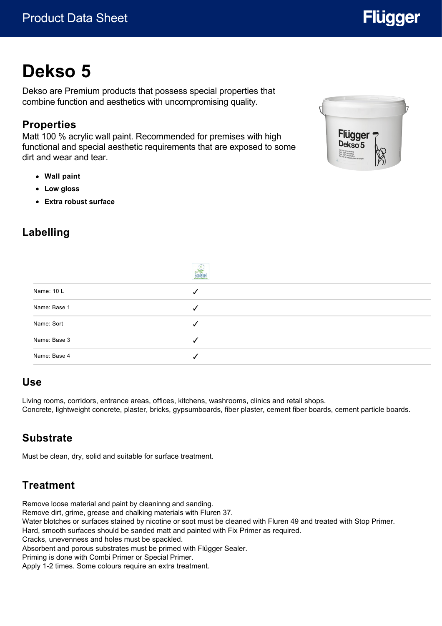# **Dekso 5**

Dekso are Premium products that possess special properties that combine function and aesthetics with uncompromising quality.

#### **Properties**

Matt 100 % acrylic wall paint. Recommended for premises with high functional and special aesthetic requirements that are exposed to some dirt and wear and tear.

- **Wall paint**
- **Low gloss**
- **Extra robust surface**

# **Labelling**



|              | $\underbrace{\overset{\underset{\mathbb{E}\mathrm{colabel}}{\leftarrow}}{\text{Ecoldbel}}}$ |
|--------------|---------------------------------------------------------------------------------------------|
| Name: 10 L   |                                                                                             |
| Name: Base 1 | √                                                                                           |
| Name: Sort   | √                                                                                           |
| Name: Base 3 |                                                                                             |
| Name: Base 4 |                                                                                             |
|              |                                                                                             |

#### **Use**

Living rooms, corridors, entrance areas, offices, kitchens, washrooms, clinics and retail shops. Concrete, lightweight concrete, plaster, bricks, gypsumboards, fiber plaster, cement fiber boards, cement particle boards.

# **Substrate**

Must be clean, dry, solid and suitable for surface treatment.

# **Treatment**

Remove loose material and paint by cleaninng and sanding.

Remove dirt, grime, grease and chalking materials with Fluren 37.

Water blotches or surfaces stained by nicotine or soot must be cleaned with Fluren 49 and treated with Stop Primer. Hard, smooth surfaces should be sanded matt and painted with Fix Primer as required.

Cracks, unevenness and holes must be spackled.

Absorbent and porous substrates must be primed with Flügger Sealer.

Priming is done with Combi Primer or Special Primer.

Apply 1-2 times. Some colours require an extra treatment.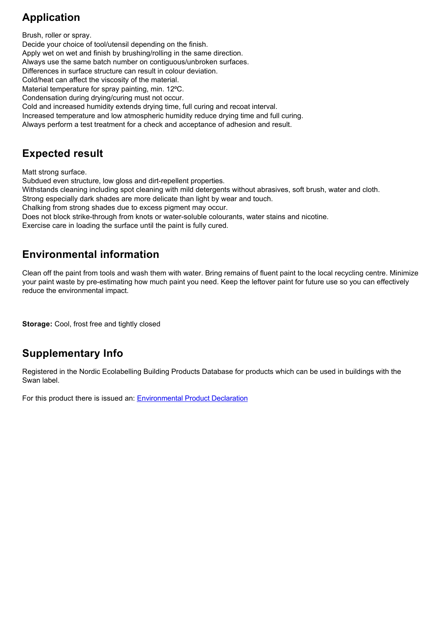# **Application**

Brush, roller or spray. Decide your choice of tool/utensil depending on the finish. Apply wet on wet and finish by brushing/rolling in the same direction. Always use the same batch number on contiguous/unbroken surfaces. Differences in surface structure can result in colour deviation. Cold/heat can affect the viscosity of the material. Material temperature for spray painting, min. 12°C. Condensation during drying/curing must not occur. Cold and increased humidity extends drying time, full curing and recoat interval. Increased temperature and low atmospheric humidity reduce drying time and full curing. Always perform a test treatment for a check and acceptance of adhesion and result.

### **Expected result**

Matt strong surface.

Subdued even structure, low gloss and dirt-repellent properties.

Withstands cleaning including spot cleaning with mild detergents without abrasives, soft brush, water and cloth.

Strong especially dark shades are more delicate than light by wear and touch.

Chalking from strong shades due to excess pigment may occur.

Does not block strike-through from knots or water-soluble colourants, water stains and nicotine.

Exercise care in loading the surface until the paint is fully cured.

## **Environmental information**

Clean off the paint from tools and wash them with water. Bring remains of fluent paint to the local recycling centre. Minimize your paint waste by pre-estimating how much paint you need. Keep the leftover paint for future use so you can effectively reduce the environmental impact.

**Storage:** Cool, frost free and tightly closed

### **Supplementary Info**

Registered in the Nordic Ecolabelling Building Products Database for products which can be used in buildings with the Swan label.

For this product there is issued an: [Environmental Product Declaration](https://www.environdec.com/library/epd3211)